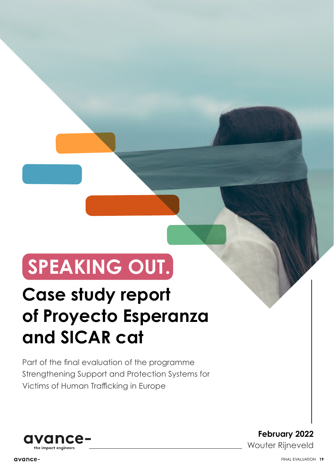# **SPEAKING OUT.**

## **Case study report of Proyecto Esperanza and SICAR cat**

Part of the final evaluation of the programme Strengthening Support and Protection Systems for Victims of Human Trafficking in Europe



**February 2022** Wouter Rijneveld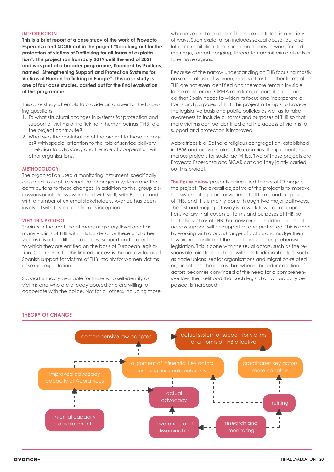#### **INTRODUCTION**

**This is a brief report of a case study of the work of Proyecto Esperanza and SICAR cat in the project "Speaking out for the protection of victims of Trafficking for all forms of exploitation". This project ran from July 2019 until the end of 2021 and was part of a broader programme, financed by Porticus, named "Strengthening Support and Protection Systems for Victims of Human Trafficking in Europe". This case study is one of four case studies, carried out for the final evaluation of this programme.**

This case study attempts to provide an answer to the following questions

- 1. To what structural changes in systems for protection and support of victims of trafficking in human beings (THB) did the project contribute?
- 2. What was the contribution of the project to these changes? With special attention to the role of service delivery in relation to advocacy and the role of cooperation with other organisations**.**

#### **METHODOLOGY**

The organisation used a monitoring instrument, specifically designed to capture structural changes in systems and the contributions to these changes. In addition to this, group discussions or interviews were held with staff, with Porticus and with a number of external stakeholders. Avance has been involved with this project from its inception.

#### **WHY THIS PROJECT**

Spain is in the front line of many migratory flows and has many victims of THB within its borders. For these and other victims it is often difficult to access support and protection to which they are entitled on the basis of European legislation. One reason for this limited access is the narrow focus of Spanish support for victims of THB, mainly for women victims of sexual exploitation.

Support is mostly available for those who self-identify as victims and who are already abused and are willing to cooperate with the police. Not for all others, including those who arrive and are at risk of being exploitated in a variety of ways. Such exploitation includes sexual abuse, but also labour exploitation, for example in domestic work, forced marriage, forced begging, forced to commit criminal acts or to remove organs.

Because of the narrow understanding on THB focusing mostly on sexual abuse of women, most victims for other forms of THB are not even identified and therefore remain invisible. In the most recent GRETA monitoring report, it is recommended that Spain needs to widen its focus and incorporate all froms and purposes of THB. This project attempts to broaden the legislative basis and public policies as well as to raise awareness to include all forms and purposes of THB so that more victims can be identified and the access of victims to support and protection is improved

Adoratrices is a Catholic religious congregation, established in 1856 and active in almost 30 countries. It implements numerous projects for social activities. Two of these projects are Proyecto Esperanza and SICAR cat and they jointly carried out this project.

**The figure below** presents a simplified Theory of Change of the project. The overall objective of the project is to improve the system of support for victims of all forms and purposes of THB, and this is mainly done through two major pathways. The first and major pathway is to work toward a comprehensive law that covers all forms and purposes of THB, so that also victims of THB that now remain hidden or cannot access support will be supported and protected. This is done by working with a broad range of actors and nudge them toward recognition of the need for such comprehensive legislation. This is done with the usual actors, such as the responsible ministries, but also with less traditional actors, such as trade unions, sector organisations and migration-related organisations. The idea is that when a broader coalition of actors becomes convinced of the need for a comprehensive law, the likelihood that such legislation will actually be passed, is increased.

#### **THEORY OF CHANGE**

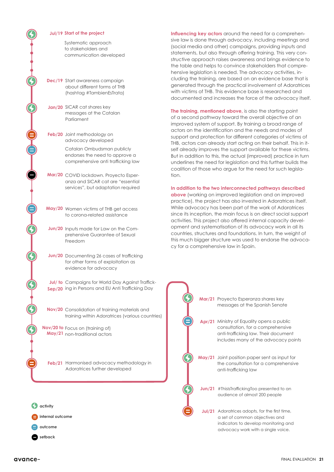#### **Jul/19 Start of the project**

Systematic approach to stakeholders and communication developed

- **Dec/19** Start awareness campaign about different forms of THB (hashtag #TambienEsTrata)
- **Jan/20**  SICAR cat shares key messages at the Catalan Parliament
- **Feb/20** Joint methodology on advocacy developed

Catalan Ombudsman publicly endorses the need to approve a comprehensive anti trafficking law

**Mar/20** COVID lockdown. Proyecto Esperanza and SICAR cat are "essential services", but adaptation required

- **May/20** Women victims of THB get access to corona-related assistance
- **Jun/20** Inputs made for Law on the Comprehensive Guarantee of Sexual Freedom
- **Jun/20** Documenting 26 cases of trafficking for other forms of exploitation as evidence for advocacy

**Jul/ to** Campaigns for World Day Against Traffick-**Sep/20** ing in Persons and EU Anti Trafficking Day

**Nov/20** Consolidation of training materials and training within Adoratrices (various countries)

**Nov/20 to** Focus on (training of) **May/21** non-traditional actors

**Feb/21** Harmonised advocacy methodology in Adoratrices further developed



**Influencing key actors** around the need for a comprehensive law is done through advocacy, including meetings and (social media and other) campaigns, providing inputs and statements, but also through offering training. This very constructive approach raises awareness and brings evidence to the table and helps to convince stakeholders that comprehensive legislation is needed. The advocacy activities, including the training, are based on an evidence base that is generated through the practical involvement of Adoratrices with victims of THB. This evidence base is researched and documented and increases the force of the advocacy itself.

**The training, mentioned above,** is also the starting point of a second pathway toward the overall objective of an improved system of support. By training a broad range of actors on the identification and the needs and modes of support and protection for different categories of victims of THB, actors can already start acting on their behalf. This in itself already improves the support available for these victims. But in addition to this, the actual (improved) practice in turn underlines the need for legislation and this further builds the coalition of those who argue for the need for such legislation.

#### **In addition to the two interconnected pathways described**

**above** (working on improved legislation and on improved practice), the project has also invested in Adoratrices itself. While advocacy has been part of the work of Adoratrices since its inception, the main focus is on direct social support activities. This project also offered internal capacity development and systematisation of its advocacy work in all its countries, structures and foundations. In turn, the weight of this much bigger structure was used to endorse the advocacy for a comprehensive law in Spain.

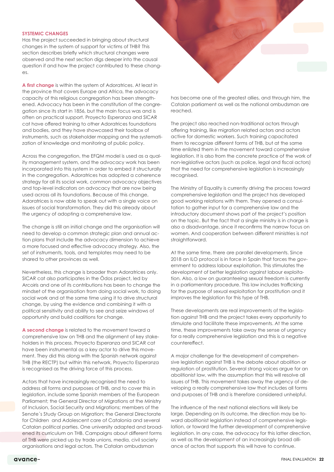#### **SYSTEMIC CHANGES**

Has the project succeeded in bringing about structural changes in the system of support for victims of THB? This section describes briefly which structural changes were observed and the next section digs deeper into the causal question if and how the project contributed to these changes.

**A first change** is within the system of Adoratrices. At least in the province that covers Europe and Africa, the advocacy capacity of this religious congregation has been strengthened. Advocacy has been in the constitution of the congregation since its start in 1856, but the main focus was and is often on practical support. Proyecto Esperanza and SICAR cat have offered training to other Adoratrices foundations and bodies, and they have showcased their toolbox of instruments, such as stakeholder mapping and the systematization of knowledge and monitoring of public policy.

Across the congregation, the EFQM model is used as a quality management system, and the advocacy work has been incorporated into this system in order to embed it structurally in the congregation. Adoratrices has adopted a coherence strategy for all its social work, common advocacy objectives and top-level indicators on advocacy that are now being used across all its foundations. Because of this change, Adoratrices is now able to speak out with a single voice on issues of social transformation. They did this already about the urgency of adopting a comprehensive law.

The change is still an initial change and the organisation will need to develop a common strategic plan and annual action plans that include the advocacy dimension to achieve a more focused and effective advocacy strategy. Also, the set of instruments, tools, and templates may need to be shared to other provinces as well.

Nevertheless, this change is broader than Adoratrices only. SICAR cat also participates in the Ödos project, led by Arcoiris and one of its contributions has been to change the mindset of the organisation from doing social work, to doing social work and at the same time using it to drive structural change, by using the evidence and combining it with a political sensitivity and ability to see and seize windows of opportunity and build coalitions for change.

**A second change** is related to the movement toward a comprehensive law on THB and the alignment of key stakeholders in this process. Proyecto Esperanza and SICAR cat have been instrumental as a key actor to drive this movement. They did this along with the Spanish network against THB (the RECTP) but within this network, Proyecto Esperanza is recognised as the driving force of this process.

Actors that have increasingly recognised the need to address all forms and purposes of THB, and to cover this in legislation, include some Spanish members of the European Parliament; the General Director of Migrations at the Ministry of Inclusion, Social Security and Migrations; members of the Senate´s Study Group on Migration; the General Directorate for Children and Adolescent care of Catalonia and several Catalan political parties. One university adapted and broadened its curriculum on THB. Campaigns about different forms of THB were picked up by trade unions, media, civil society organisations and legal actors. The Catalan ombudsman



The project also reached non-traditional actors through offering training, like migration related actors and actors active for domestic workers. Such training capacitated them to recognize different forms of THB, but at the same time enlisted them in the movement toward comprehensive legislation. It is also from the concrete practice of the work of non-legislative actors (such as police, legal and fiscal actors) that the need for comprehensive legislation is increasingly recognised.

The Ministry of Equality is currently driving the process toward comprehensive legislation and the project has developed good working relations with them. They opened a consultation to gather input for a comprehensive law and the introductory document shows part of the project's position on the topic. But the fact that a single ministry is in charge is also a disadvantage, since it reconfirms the narrow focus on women. And cooperation between different ministries is not straightforward.

At the same time, there are parallel developments. Since 2018 an ILO protocol is in force in Spain that forces the government to address labour exploitation. This stimulates the development of better legislation against labour exploitation. Also, a low on guaranteeing sexual freedom is currently in a parliamentary procedure. This law includes trafficking for the purpose of sexual exploitation for prostitution and it improves the legislation for this type of THB.

These developments are real improvements of the legislation against THB and the project takes every opportunity to stimulate and facilitate these improvements. At the same time, these improvements take away the sense of urgency for a really comprehensive legislation and this is a negative countereffect.

A major challenge for the development of comprehensive legislation against THB is the debate about abolition or regulation of prostitution. Several strong voices argue for an abolitionist law, with the assumption that this will resolve all issues of THB. This movement takes away the urgency of developing a really comprehensive law that includes all forms and purposes of THB and is therefore considered unhelpful.

The influence of the next national elections will likely be large. Depending on its outcome, the direction may be toward abolitionist legislation instead of comprehensive legislation, or toward the further development of comprehensive legislation. In any case, the advocacy for this latter direction, as well as the development of an increasingly broad alliance of actors that supports this will have to continue.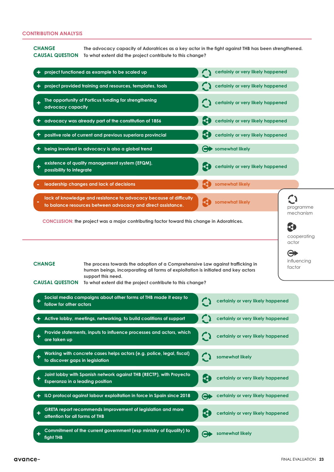### **CONTRIBUTION ANALYSIS**

**CHANGE The advocacy capacity of Adoratrices as a key actor in the fight against THB has been strengthened. CAUSAL QUESTION To what extent did the project contribute to this change?**

| project functioned as example to be scaled up                                                                                                                                                                                                                                                                                                                                                                           |  |                       | certainly or very likely happened |           |
|-------------------------------------------------------------------------------------------------------------------------------------------------------------------------------------------------------------------------------------------------------------------------------------------------------------------------------------------------------------------------------------------------------------------------|--|-----------------------|-----------------------------------|-----------|
| project provided training and resources, templates, tools                                                                                                                                                                                                                                                                                                                                                               |  |                       | certainly or very likely happened |           |
| The opportunity of Porticus funding for strengthening<br>advocacy capacity                                                                                                                                                                                                                                                                                                                                              |  |                       | certainly or very likely happened |           |
| advocacy was already part of the constitution of 1856                                                                                                                                                                                                                                                                                                                                                                   |  |                       | certainly or very likely happened |           |
| positive role of current and previous superiora provincial                                                                                                                                                                                                                                                                                                                                                              |  | $\mathbf{\Theta}$     | certainly or very likely happened |           |
| being involved in advocacy is also a global trend                                                                                                                                                                                                                                                                                                                                                                       |  | ⇔▶                    | somewhat likely                   |           |
| existence of quality management system (EFQM),<br>possibility to integrate                                                                                                                                                                                                                                                                                                                                              |  | K                     | certainly or very likely happened |           |
| leadership changes and lack of decisions                                                                                                                                                                                                                                                                                                                                                                                |  |                       | somewhat likely                   |           |
| lack of knowledge and resistance to advocacy because of difficulty<br>to balance resources between advocacy and direct assistance.                                                                                                                                                                                                                                                                                      |  |                       | somewhat likely                   | programme |
| mechanism<br>CONCLUSION: the project was a major contributing factor toward this change in Adoratrices.<br>$\blacktriangleleft$<br>cooperating<br>actor<br>$\boldsymbol{\Theta}$<br>influencing<br><b>CHANGE</b><br>The process towards the adoption of a Comprehensive Law against trafficking in<br>factor<br>human beings, incorporating all forms of exploitation is initiated and key actors<br>support this need. |  |                       |                                   |           |
| <b>CAUSAL QUESTION</b><br>To what extent did the project contribute to this change?<br>Social media campaigns about other forms of THB made it easy to<br>follow for other actors                                                                                                                                                                                                                                       |  |                       | certainly or very likely happened |           |
| Active lobby, meetings, networking, to build coalitions of support                                                                                                                                                                                                                                                                                                                                                      |  |                       | certainly or very likely happened |           |
| Provide statements, inputs to influence processes and actors, which<br>are taken up                                                                                                                                                                                                                                                                                                                                     |  |                       | certainly or very likely happened |           |
| Working with concrete cases helps actors (e.g. police, legal, fiscal)<br>to discover gaps in legislation                                                                                                                                                                                                                                                                                                                |  |                       | somewhat likely                   |           |
| Joint lobby with Spanish network against THB (RECTP), with Proyecto<br>Esperanza in a leading position                                                                                                                                                                                                                                                                                                                  |  | 3                     | certainly or very likely happened |           |
| ILO protocol against labour exploitation in force in Spain since 2018                                                                                                                                                                                                                                                                                                                                                   |  | Θ                     | certainly or very likely happened |           |
| GRETA report recommends improvement of legislation and more<br>attention for all forms of THB                                                                                                                                                                                                                                                                                                                           |  | $\mathcal{A}$         | certainly or very likely happened |           |
| Commitment of the current government (esp ministry of Equality) to<br>fight THB                                                                                                                                                                                                                                                                                                                                         |  | $\boldsymbol{\Theta}$ | somewhat likely                   |           |